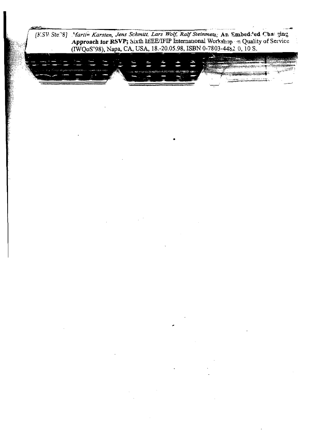[KSW Ste^8] Martin Karsten, Jens Schmitt, Lars Wolf, Ralf Steinmetz; An Embedded Chat ging<br>Approach tor RSVP; Sixth IEEE/IFIP International Workshop on Quality of Service<br>(IWQoS'98), Napa, CA, USA, 18.-20.05.98, ISBN 0-780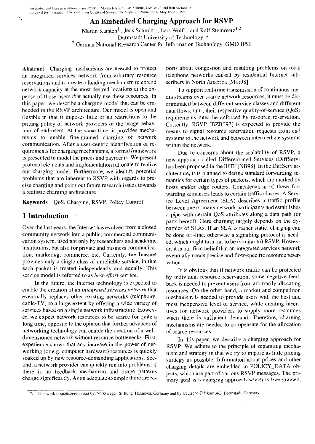# **An Embedded Charging Approach for RSVP**

Martin Karsten<sup>1</sup>, Jens Schmitt<sup>1</sup>, Lars Wolf<sup>1</sup>, and Ralf Steinmetz<sup>1.2</sup>  $\frac{1}{2}$  Darmstadt University of Technology \*  $<sup>2</sup>$  German National Research Center for Information Technology, GMD IPSI</sup>

Abstract Charging mechanisms are needed to protect an integrated services network from arbitrary resource reservations and to create a funding mechanism to extend network capacity at the most desired locations at the expense of those users that actually use these resources. In this paper, we describe a charging model that can be embedded in the RSVP architecture. Our model is open and flexible in that it imposes little or no restrictions to the pricing polioy of network providers or the usage behaviour of end-users. At the same time, it provides mechanisms to enable fine-grained charging of network communication. After a user-centric identification of requirements for charging mechanisms, a formal framework is presented to model the prices and payments. We present protocol elements and implementation rationale to realize our charging model. Furthermore. we identify potential problems that are inherent to RSVP with regards to precise charging and point out future research issues towards a realistic charging architecture.

**Keywords** QoS. Charging, RSVP, Policy Control

## 1 Introduction

Over the last years, the Internet has evolved from a closed community network into a public, commercial communication system, used not only by researchers and academic institutions, but also for private and business communication, marketing, commerce, etc. Currently, the Internet provides only a single class of unreliable service, in that each packet is treated independently and equally. This service model is referred to as *best-effort service.* 

In the future, the Internet technology is erpected to enable the creation of an *integrated services network* that eventually replaces other existing networks (telephony, cable-TV) to a large extent by offering a wide variety of services based on a single network infrastructure. However; we expect network resources to he scarze for quite a long time, opposite to the opinion that further advances of networking technology can enable the creation of a welldimensioned network without resource bottlenecks. First, experience shows that any increase in the power of networking (or e.g. computer hardware) resources is quickly soaked up by new resource-demanding applications. Second, a network provider can quickly mn into problems, if there is no Feedback mechanism and usage Patterns change significantly. As an adequate exarnple there **arr** reports about congestion and resulting prohlems on local telephone networks caused by residential Internet subscribers in North America [Mor98].

To support real-time transmission of continuuus-media streams over scarce network resources, it must be discriminated between different service classes and different data flows. thus, iheir respective quality-of-service (QoS) requirements must be enforced by resource reservation. Currently, RSVP  $[**BZB**<sup>+</sup>97]$  is expected to provide the means to signal resource reservation requests from end systems to the network and between intermediate systems within the network.

Due io concerns about the scalability of RSVP, a new approach called Differentiated Services (DiffServ) has been proposed in the IETF [NB98]. In the DiffServ architecture, it is planned to define standard forwarding semantics for certain types of packets, which are marked by hosts and/or edge routers. Concatenation of these forwarding semantics leads to certain traffic classes. A Service Level Agreement (SLA) describes a traffic profile between one or many network participants and establishes a pipe with certain QoS attributes along a data path (or parts hereof). Here charging largely depends on the dynamics of SLAs. If an SLA is rather static, charging can be done off-line, otherwise a signalling protocol is needed, which might turn out tobe (similar to) RSVP. However, it is our firm belief that an integnted services network eventually needs precise and flow-specific resource reservation.

It is obvious that if network traffic can be protected by individual resource reservation, some negative feedback is needed to prevent users from arbitrarily allocating resources. On the other hand, a market and competition mechanism is needed to provide users with the best and most inexpensive level of service. while creating incentives for network providers to supply more resources when there is sufficient demand. Therefore, charging mechanisms are needed to compensate for the allocation of scarce resources.

In this paper. we describe a charging approach for RSVP. We adhere to the principle of separating mechanism and strategy in that we try to impose as little pricing strategy as possible. Information about prices and other charging details are embedded in POLICY\_DATA objects, which are part of various RSVP messapes. The primary goal is a charging approach which is fine-grained,

 $\overline{D}$  This work is sponsored in part by: Volkswagen-Stiftung, Hannover, Germany and by Deutsche Telekom AG, Darmstadt, Germany.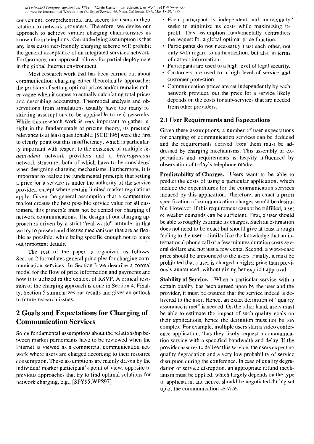convenient, comprehensible and secure for users in their relation to network providers. Therefore, we devise our approach to achieve siniilar charging characteristics as known from telephony. Our underlying assumption is that any less customer-fnendly charging scheme will prohibit the general acceptance of an integrated services network. Furthermore, our approach allows for partial deployment in the global lntemet environment.

Most research work that has been carried out about communication charging either theoretically approaches the problem of setting optimal prices and/or remains rather vague when it comes to actually calculating total prices and describing accounting. Theoretical analysis and observations from simulations usually have too many restricting assumptions to be applicable to real networks. While this research work is very important to gather insight in the fundamentals of pricing theory, its practical relevance is at least questionable. [SCEH96] were the first to clearly point out this insufficiency, which is particularly important with respect to the existence of multiple *irtdependent* network providers and a *heterogeneous* network stmcture, both of which have to be considered when designing charging mechanisms. Furthermore. it is important to realize the fundamental principle that setting a price for a service is under the authority of the service provider, except where cerrain limited market regulations apply. Given the general assumption that a competitive market creates the best possible service value for all customers, this principle must not be denied for charging of network communications. The design of our charging approach is driven by a strict "real-world" attitude, in that we try to present and discuss mechanisms that are as flexible as possible, while being specific enough not to leave out important details.

The rest of the paper is organized as follows. Section 2 fotmulates general principles for charging communication services. In Section **3** we describe a formal model for the flow of price information and payrnents and how it is utilized in the context of RSVP. A critical revision of the charging approach is done in Section 4. Finally, Section 5 summarizes our results and gives an outlook to future research issues.

# **2 Goals and Expectations for Charging of Communication Services**

Some fundamental assumptions about the relationship between market participants have to be reviewcd when the Intemet is viewed as a commercial communication network where users are charged according to their resource consumption. These assumptions are mainly driven by the individual market participant's point of view, opposite to previous approaches that try to find optimal solutions for network charging, e.g., [SFY95,WPS97]

- accepted for International Workshop on Quality of Service 198. Napa. Califorma. USA. May 18-20. 1998<br>Teach participant (comprehensible and secure for users in their - - Each participant is independent and individuall seeks to minimize its costs while maximizing its profit. This assumption furidamentally contradicts the request for a global optimal price function.
	- Participants do not necessarily trust each other, not only with regard to authentication, but also in terms of correct information.
	- Parricipants are used to a high level of legal security.
	- Customers are used to a high level of service and customer protection.
	- Communication prices are set independently by each network provider, but the price for a service likely depends on the costs for sub-services that are needed from other providers

## **2.1 User Requirements and Expectations**

Given these assumptions, a number of user expectations for charging of communication services cari be deduced and the requirements derived from them must be addressed by charging mechanisms. This assembly of expectations and requirements is heavily influenced by observation of today's telephone market.

**Predictability of Charges.** Users Want to be able to predict the costs of using a particular application, which include the expenditures for the communication services induced by this application. Therefore, an exact a priori specification of communication charges would be desirable. However, if this requirement cannot be fulfilled, a set of weaker demands can be sufficient. First, a user should be able to roughly estimate its chargcs. Such an estimation does not need to be exact but should give at least a rough feeling to the user  $-\sin$  larger like the knowledge that an international phone call of a few minutes duration costs several dollars and not just a few Cents. Second; a worst-case price should be announced to the users. Finally, it must be prohibited that a user is charged a higher price than previously announced, without giving her explicit approval.

**Stability of Service.** When a particular service with a certain quality has been agreed upon by the user and the provider, it must be ensured that the service indeed is delivered to the user. Hence, an exact definition of "quality" assurance is met" is needed. On the other hand, users must be able to estimate the impact of such quality goals on their applications, hence the definition must not be too complex. For example, multiple users start a video conference application, thus they likely request a communication service with a specified bandwidth and delay. If the provider assures to deliver this service. the users expect no quality degradation and a very low probability of service disiuption during the conference. In case of quality degradation or service disruption, an appropriate refund mechanism must be applied, which largely depends on the type of application, and hence. shouId be negotiated during set up of the communication service.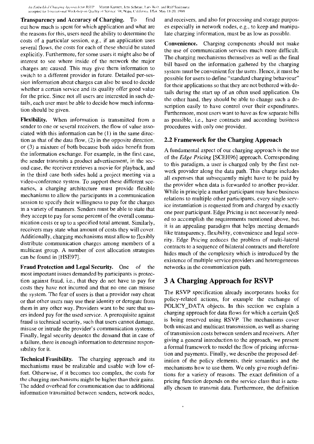**Transparency and Accuracy of Charging.** To find out how much is spent for which application and what are the reasons for this, users need the ability to determine the costs of a particular session, e.g., if an application uses several flows, the costs for each of these should be stated explicitly. Furthermore, for some users it might also be of interest to see where inside of the network the major charges are caused. This may give them information to switch to a different provider in future. Detailed per-session information about charges can also be used to decide whether a certain service and its quality offer good value for the price. Since not all users are interested in such details, each user must be able to decide how much information should be given.

**Flexibility.** When information is transmitted from a sender to one or several receivers, the flow of value associated with this information can be (I) in the same direction as that of the data flow, (2) in the opposite direction. or (3) a mixture of both because both sides benefit from the information exchange. For example, in the first case, the sender transmits a product advertisement, in the second case, the receiver retrieves a movie for playback, and in the third case both sides hold a project meeting via a video-conference System. To Support these different scenarios, a charging architecture must provide flexible mechanisms to allow the participants in a communication session to specify their willingness to pay for the charges in a variety of manners. Senders must be able to state that they accept to pay for some percent of the overall communication costs or up to a specified total amount. Similarly, receivers may state what amount of costs they will cover. Additionally, charging mechanisms must allow to flexibly distribute communication charges among members of a multicast group. A number of cost allocation strategies can be found in [HSE97].

**Fraud Protection and Legal Security.** One of the most important issues demanded by participants is protection against fraud, i.e., that they do not have to pay for costs they have not incurred and that no one can misuse the system. The fear of users is that a provider may cheat or that other users may use their identity or deropate from them in any other way. Providers Want to be sure that users indeed pay for the used service. A prerequisite against fraud is technical security, such that users cannot damage, misuse or intrude the provider's communication systems. Finally, legal security denotes the demand that in case of a failure, there is enough information to determine responsibility for it.

**Technical Feasihility.** The charging approach and its mechanisms must be realizable and usable with low effort. Otherwise, if it becomes too complex, the costs for the charging mechanisms might be higher than their gains. The added overhead for communication due to additional information transmitted between senders, network nodes,

and receivers, and also for processing and storage purposes especially in network nodes, e.g., to keep and manipulate charging information, must be as low as possible.

**Convenience.** Charging components should not make the use of communication services much more difficult. The charging mechanisms themselves as well as the final bill based on the information gathered by the charging system must be convenient for the users. Hence, it must be possible for users to define "standard charging behaviour" for their applications so that they are not bothered with details during the start up of an often used application. On the other hand, they should be able to change such a description easily to have control over their expenditures. Furthermore, most users Want to have as few separate bills as possible, i.e., have contracts and according business procedures with only one provider.

## **2.2 Framework for the Charging Approach**

A fundamental aspect of our charging approach is the use of the *Edge* **Pricing** [SCEH961 approach. Corresponding to this paradigm, a user is charged only by the first network provider along the data path. This charge includes all expenses that subsequently might have to be paid by the provider when data is forwarded to another provider. While in principle a market participant may have business relations to multiple other participants. every single service instantiation is requested from and charged by exactly one peer participant. Edge Pricing is not necessarily needed to accomplish the requirements mentioned above, but. it is an appealing paradigm that helps meeting demands like transparency, flexibility, convenience and legal security. Edge Pricing reduces the problem of multi-lateral contracts to a sequence of bilateral contracts and therefore hides much of the complexity which is introduced by the existence of multiple service providers and heterogeneous networks in the communication path.

# **3 A Charging Approach for RSVP**

À

The RSVP specification already incorporates hooks for policy-related actions, for example the exchange of POLICY-DATA objects. In this section we explain a charging approach for data flows for which a certain QoS is being reserved using RSVP. The mechanisms cover both unicast and multicast transmission, as well as sharing of transmission costs between senders and receivers. After giving a peneral introduction to the approach, we present a formal framework to model the flow of pricing inforniation and payments. Finally, we describe the proposed definition of the policy elements, their semantics and the mechanisms how to use them. We only give rough definitions for a variety of reasons. The exact definition of a pricing function depends on the service class that is actually chosen to transmit data. Furthermore, the definition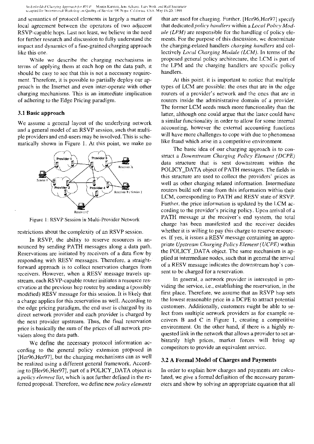and semantics of protocol elements is largely a matter of local agreement between the Operators of two adjacent RSVP-capable hops. Last not least, we believe in the need for furrher research and discussion to fully understand the impact and dynamics of a fine-grained charging approach like this one.

While we describe the charging mechanisms in terms of applying them at each hop on the data path, it should be easy to see that this is not a necessary requirement. Therefore, it is possible to partially deploy our approach in the Iniernet and even inter-operate with other charging mechanisms. This is an immediate implication of adhering to the Edge Pricing paradigni.

### **3.1 Basic approach**

We assume a general layout of the underlying network and a general model of an RSVP session, such that multiple providers and end-users may be involved. This is schematically shown in Figure 1. At this point, we make no



Figuic 1: RSVP Session in Multi-Provider Nctwork

restrictions about the complexity of an RSVP session.

In RSVP, the ability to reserve resources is announced by sending PATH messages along a data path. Reservations are initiated by receivers of a data flow by responding with RESV messages. Therefore. a straightforward approach is to collect reservation charges from receivers. However, when a RESV message travels upstream, each RSVP-capable router initiates a resource reservation at the previous hop router by sending a (possibly modified) RESV message for this session. It is likely that a charge applies for this reservation as well. According to the edge pricing paradigm, the end user is charged by its direct network provider and each provider is charged by the next provider upstream. Thus, the final reservation price is basically the sum of the prices of all network providers along the data path.

We define the necessary protocol information according to the general policy extension proposed in [Her96.Her97], but the charging mechanisms can as well be realized using a different general framework. According to [Her96, Her97], part of a POLICY\_DATA object is a policy element list, which is not further defined in the referred proposal. Therefore, we define new *policy elements* 

that are used for charging. Further. [Her96,Her97] specify that dedicated policy handlers within a Local Policy Module ( $LPM$ ) are responsible for the handling of policy elements. For the purpose of this discussion, we denominate the charging-related handlers *charging handlers* and collectively Local Charging Module (LCM). In terms of the proposed general policy architecture, the LCM is part of the LPM and the charging handlers are specific policy handlers.

At this point, it is important to notice that multiple types of LCM are possible: the ones that are in the edge routers of a provider's network and the ones that are in routers inside the administrative domain of a provider. The former LCM needs niuch more functionality than the latter, although one could argue that the latter could have a similar functionality in order to allow for some intemal accounting, however the external accounting functions will have more challenges to cope with due to phenomena like fraud which arise in a competitive environment.

The basic idea of our charging approach is to construct a Downstream Charging Policy Element (DCPE) data structure that is sent downstream within the POLICY-DATA object of PATH messages. The fields in this structure are used to collect the providers' prices as well as other charging related information. Intermediate routers build soft state from this information within their LCM. corresponding to PATH and RESV state of RSVP. Further, the price information is updated by the LCM according to the provider's pricing policy. Upon arrival of a PATH message at the receiver's end system, the total charge has been manifested and the receiver decides whether it is willing to pay this charge to reserve resources. If yes, it issues a RESV message containing an appropriate Upstream Charging Policy Element (UCPE) within the POLICY\_DATA object. The same mechanism is applied at intermediate nodes, such that in general the arrival of a RESV message indicates the downstream hop's consent to be charged for a reservation.

In general. a network provider is interested in providing the service, i.e., establishing the reservation, in the first place. Therefore, we assume that an RSVP hop sets the lowest reasonable price in a DCPE to attract potential customers. Additionally, customers might be able to select from multiple network providers as for example receivers B and C in Figure 1, creating a competitive environment. On the other hand, if there is a highly requested link in the network that allows aprovider to set arbitrarily high prices, market forces wiill bring up competitors to provide an equivalent service:.

#### **3.2 A Formal Model of Charges and Payments**

In order to explain how charges and payments are calculated, we give a formal definition of the necessary parameters and show by solving an appropriate equation that all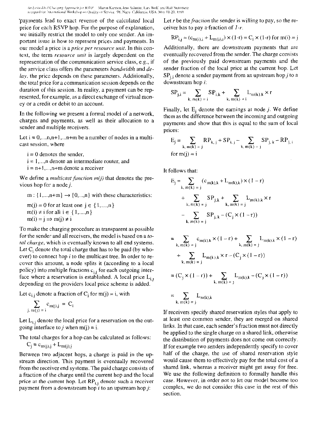payments lead to exact revenue of the calculated local price for each RSVP hop. For the purpose of explanation, we initially restrict the model to only one sender. An important issue is how to represent prices and payments. In our model a price is a price per resource unit. In this context, the term *resource unit* is largely dependent on the representation of the communication service class, e.g., if the service class offers the parameters *bandwidth* and *de* $lav$ , the price depends on these parameters. Additionally, the total price for a communication session depends on the duration of this session. In reality, a payment can be represented, for example, as a direct exchange of virtual money or a credit or debit to an account.

In the following we present a formal model of a network, charges and payments, as well as their allocation to a sender and multiple receivers.

Let  $i = 0,...,n,n+1,...n+m$  be a number of nodes in a multicast session, where

 $i = 0$  denotes the sender,  $i = 1, \dots, n$  denote an intermediate router, and  $i = n+1,...,n+m$  denote a receiver

We define a multicast function  $m(j)$  that denotes the previous hop for a node  $i$ .

 $m: \{1,...,n+m\} \rightarrow \{0,...,n\}$  with these characteristics:  $m(j) = 0$  for at least one  $j \in \{1,...,n\}$  $m(i) \neq i$  for all  $i \in \{1,...,n\}$  $m(i) = j \Rightarrow m(j) \neq i$ 

To make the charging procedure as transparent as possible for the sender and all receivers, the model is based on a total charge, which is eventually known to all end systems. Let  $C_i$  denote the total charge that has to be paid (by whoever) to connect hop  $i$  to the multicast tree. In order to recover this amount, a node splits it (according to a local policy) into multiple fractions  $c_{i,j}$  for each outgoing interface where a reservation is established. A local price  $L_{i,j}$ depending on the providers local price scheme is added.

Let  $c_{i,j}$  denote a fraction of  $C_i$  for  $m(j) = i$ , with

$$
\sum_{j, m(j) = i} c_{m(j), j} = C_i
$$

Let  $L_{i,j}$  denote the local price for a reservation on the outgoing interface to *j* when  $m(i) = i$ .

The total charges for a hop can be calculated as follows:

$$
C_j = c_{m(j),j} + L_{m(j),j}
$$

Between two adjacent hops, a charge is paid in the upstream direction. This payment is eventually recovered from the receiver end systems. The paid charge consists of a fraction of the charge until the current hop and the local price at the current hop. Let  $RP_{i,j}$  denote such a receiver payment from a downstream hop  $\vec{i}$  to an upstream hop  $\vec{j}$ :

Let  $r$  be the *fraction* the sender is willing to pay, so the receiver has to pay a fraction of  $1-r$ .

$$
RP_{i,j} = (c_{m(i),i} + L_{m(i),i}) \times (1-r) = C_i \times (1-r)
$$
 for  $m(i) = j$ 

Additionally, there are downstream payments that are eventually recovered from the sender. The charge consists of the previously paid downstream payments and the sender fraction of the local price at the current hop. Let  $SP_{i,j}$  denote a sender payment from an upstream hop j to a downstream hop  $i$ :

$$
SP_{j,i} = \sum_{k, m(k) = i} SP_{i,k} + \sum_{k, m(k) = i} L_{m(k),k} \times r
$$

Finally, let  $E_j$  denote the earnings at node j. We define them as the difference between the incoming and outgoing payments and show that this is equal to the sum of local prices:

$$
E_j = \sum_{k, m(k) = j} RP_{k, j} + SP_{i, j} - \sum_{k, m(k) = j} SP_{j, k} - RP_{j, i}
$$
  
for m(j) = i

It follows that:

$$
E_{j} = \sum_{k, m(k) = j} (c_{m(k),k} + L_{m(k),k}) \times (1 - r)
$$
  
+ 
$$
\sum_{k, m(k) = j} SP_{j,k} + \sum_{k, m(k) = j} L_{m(k),k} \times r
$$
  
- 
$$
\sum_{k, m(k) = j} SP_{j,k} - (C_{j} \times (1 - r))
$$
  
= 
$$
\sum_{k, m(k) = j} c_{m(k),k} \times (1 - r) + \sum_{k, m(k) = j} L_{m(k),k} \times (1 - r)
$$
  
+ 
$$
\sum_{k, m(k) = j} L_{m(k),k} \times r - (C_{j} \times (1 - r))
$$
  
= 
$$
(C_{j} \times (1 - r)) + \sum_{k, m(k) = j} L_{m(k),k} - (C_{j} \times (1 - r))
$$
  
= 
$$
\sum_{k, m(k) = j} L_{m(k),k}
$$

If receivers specify shared reservation styles that apply to at least one common sender, they are merged on shared links. In that case, each sender's fraction must not directly be applied to the single charge on a shared link, otherwise the distribution of payments does not come out correctly. If for example two senders independently specify to cover half of the charge, the use of shared reservation style would cause them to effectively pay for the total cost of a shared link, whereas a receiver might get away for free. We use the following definition to formally handle this case. However, in order not to let our model become too complex, we do not consider this case in the rest of this section.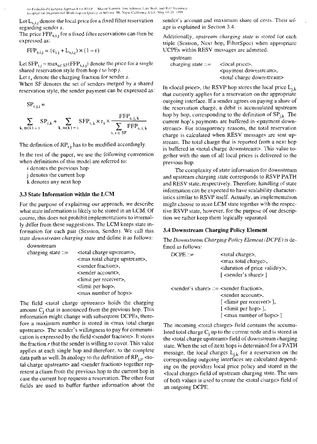An Embedded Charging Approach (or RSVP — Marini Karsten, Jens Schmitt, Lars Wolf, and Raff Steinmeiz<br>accepted for International Workshop on Quality of Service '98, Napa, California, USA, May 18-20, 1998

Let  $L_{s,i,j}$  denote the local price for a fixed filter reservation regarding sender *s.* 

The price  $\text{FFP}_{s,i,j}$  for a fixed filter reservations can then be expressed as:

$$
FFP_{s,i,j} = (c_{i,j} + L_{s,i,j}) \times (1 - r)
$$

Let  $SFP_{i,j} = max_{s \in SF}(FFP_{s,i,j})$  denote the price for a single shared reservation style from hop  $i$  to hop  $j$ .

Let  $r_s$  denote the charging fraction for sender  $s$ .

When SF denotes the set of senders merged by a shared reservation style, the sender payment can be expressed as:

$$
SP_{s,j,1} =
$$

$$
\sum_{k, m(k) = i} SP_{i,k} + \sum_{k, m(k) = i} SFP_{i,k} \times r_s \times \frac{FFP_{s,i,k}}{\sum_{s, s \in SF} FFP_{s,i,k}}
$$

The definition of  $RP_{i,j}$  has to be modified accordingly.

In the rest of the paper, we use the following convention when definitions of this model are referred to:

i denotes the previous hop

j denotes the current hop

h denotes any next hop

### 3.3 State Information within the LCM

For the purpose of explaining our approach, we describe what state information is likely to be stored in an LCM. Of course, this does not prohibit implementations to internally differ from these suggestions. The LCM keeps state information for each pair (Session, Sender). We call this state *downstream charging state* and define it as follows:

| downstream            |                                             |
|-----------------------|---------------------------------------------|
| charging state $ ::=$ | <total charge="" upstream="">,</total>      |
|                       | <max charge="" total="" upstream="">,</max> |
|                       | <sender fraction="">,</sender>              |
|                       | <sender account="">,</sender>               |
|                       | <limit per="" receiver="">,</limit>         |
|                       | <limit hop="" per="">,</limit>              |
|                       | <max hops="" number="" of=""></max>         |
|                       |                                             |

The field <total charge upstream> holds the chaging amount  $C_i$  that is announced from the previous hop. This information might change with subsequent DCPEs, therefore a maximum number is stored in <max total charge upstream>. The sender's willingness to pay for communication is expressed by the field <sender fraction>. It stores the fraction  $r$  that the sender is willing to cover. This value applies at each single hop and therefore, to the complete data path as well. In analogy to the definition of  $RP_{1,1}$ , <total charge upstream> and <sender fraction> together represent a claim from the previous hop to the current hop in case the current hop requests a reservation. The other four fields are used to buffer further information about the sender's account and maximum share of costs. Their usage is explained in Section 3.4.

Additionally, *upstream charging state* is stored for each triple (Session, Next hop, FilterSpec) when appropriate UCPEs within RESV messages are admitted:

| upstream                    |                                         |
|-----------------------------|-----------------------------------------|
| charging state $\therefore$ | $<$ local price $>$ .                   |
|                             | <payment downstream="">,</payment>      |
|                             | <total charge="" downstream=""></total> |

In <local price>, the RSVP hop stores the local price  $L_{i,k}$ that currently applies for a reservation on the appropriate outgoing interface. If a sender agrees on paying a share of the reservation charge, a debit is accumulated upstream hop by hop, corresponding to the definition of  $SP_{ik}$ . The current hop's payments are buffered in <payment downstream>. For transparency reasons, the total reservation charge is calculated when RESV messages are sent upstream. The total charge that is reported from a next hop is buffered in <total charge downstream> This value together with the sum of all local prices is delivered to the previous hop.

The complexity of state information for downstream and upstream charging state corresponds to RSVP PATH and RESV state, respectively. Therefore, handling of state information can be expected to have scalability characteristics similar to RSVP itself. Actually, an implementation might choose to store LCM state together with the respective RSVP state, however, for the purpose of our description we rather keep them logically separated.

### **3.4** Downstream Charging Policy Element

The *Downstream Charging Policy Element* (DCPE) is defined as follows:

| $DCPE ::=$                                                                                                             | <total charge="">,</total>                                  |  |
|------------------------------------------------------------------------------------------------------------------------|-------------------------------------------------------------|--|
|                                                                                                                        | <max charge="" total="">,</max>                             |  |
|                                                                                                                        | <duration of="" price="" validity="">,</duration>           |  |
|                                                                                                                        | [ <sender's share="">]</sender's>                           |  |
| $\epsilon$ <sender's share=""> <math>\epsilon</math> = <math>\epsilon</math> <sender fraction="">,</sender></sender's> |                                                             |  |
|                                                                                                                        | <sender account="">.</sender>                               |  |
|                                                                                                                        | [ <limit per="" receiver="">],</limit>                      |  |
|                                                                                                                        | $\lceil$ <limit hop="" per=""> <math>\rceil</math>,</limit> |  |
|                                                                                                                        | [ <max hops="" number="" of="">]</max>                      |  |

The incoming <total charge> field contains the accumulated total charge  $C_i$  up to the current node and is stored in the <total charge upstream> field of downstream charging state. When the set of next hops is determined for a PATH message, the local charges  $L_{i,k}$  for a reservation on the corresponding outgoing interfaces are calculated depending on the providers local price policy and stored in the <local charge> field of upstream charging stlite. The sum of both values is used to create the <total charge> field of an outgoing DCPE.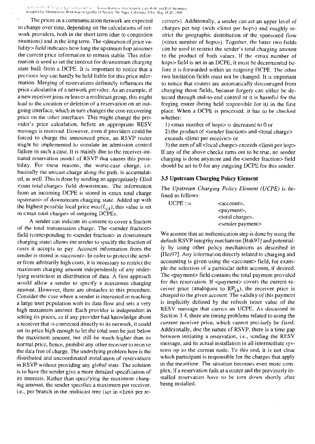The prices in a communication network are expected to change over time, depending on the calculations of network providers, both in the short term (due to congestion situations) and in the long term. The <duration of price validity> field indicates how long the upstream hop assumes the current price information to remain stable. This information is used to set the timeout for downstream charging state built from a DCPE. It is important to notice that a previous hop can hardly be held liable for this price information. Merging of reservations definitely influences the price calculation of a network provider. As an example, if a new receiver joins or leaves a multicast group, this might lead to the creation or deletion of a reservation on an outgoing interface, which in turn changes the cost-recovering price on the other interfaces. This might change the provider's price calculation, before an appropriate RESV message is received. However, even if providers could be forced to charge the announced price, an RSVP router might be implemented to simulate an admission control failure in such a case. It is mainly due to the receiver-initiated reservation model of RSVP that causes this possibility. For these reasons, the worst-case charge, i.e. basically the unicast charge along the path, is accumulated, as well. This is done by sending an appropriately filled <max total charge> field downstream. The information from an incoming DCPE is stored in <max total charge upstream> of downstream charging state. Added up with the highest possible local price  $max(L_i)$ , this value is set in <max total charge> of outgoing DCPEs.

A sender can indicate its consent to cover a fraction of the total transmission charge. The <sender fraction> field (corresponding to <sender fraction> in downstream charging state) allows the sender to specify the fraction of costs it accepts to pay. Account information from the sender is stored in <account>. In order to protect the sender from arbitrarily high costs, it is necessary to restrict the maximum charging amount independently of any underlying restriction in distribution of data. A first approach would allow a sender to specify a maximum chargiug amount. However, there are obstacles to this procedure. Consider the case where a sender is interested in reaching a large user population with its data flow and sets a very high maximum amount. Each provider is independent in setting its prices, so if any provider had knowledge about a receiver that is connected directly to its network, it could set its price high enough to let the total sum be just below the maximum amount, but still be much higher than its normal price, hence, prohibit any other receiver to receive the data free of charge. The underlying problem here is the distributed and uncoordinated installation of reservations in RSVP without providing any global state. The solution is to have the sender give a more detailed specification of its interests. Rather than specifying the maximum charging amount, the sender specifies a maximum per receiver, i.e., per branch in the multicast tree (set in <limit per re-

ceiver>). Additionally, a sender can set an upper level of charges per hop (with <limit per hop>) and roughly restrict the geographic distribution of the sponsored flow (<max number of hops>). Together, the latter two fields can be used to restrict the sender's total charging amount to the product of both values. If the <max number of hops> field is set in an DCPE, it must be decremented before it is forwarded within an outgoing DCPE. The other two limitation fields must not be changed. It is important to notice that routers are automatically discouraged from changing those fields, because forgery can either be detected through end-to-end control or it is harmful for the forging router (being held responsible for it) in the first place. When a DCPE is processed, it has to be checked whether:

1) <max number of hops> is decreased to 0 or

2) the product of <sender fraction> and <total charge> exceeds <limit per receiver> or

3) the sum of all <local charge> exceeds <limit per hop> If any of the above checks turns out to be true, no sender charging is done anymore and the <sender fraction> field should be set to 0 for any outgoing DCPE for this sender.

### 3.5 Upstream Charging Policy Element

The Upstream Charging Policy Element (UCPE) is defined as follows:

| $UCPE ::=$ | $\alpha$ $\alpha$ $\alpha$ $\alpha$            |
|------------|------------------------------------------------|
|            | <payment>,</payment>                           |
|            | $<$ total charge $>$ ,                         |
|            | $\epsilon$ <sender payment<="" td=""></sender> |

We assume that an authentication step is done by using the default RSVP iutegrity mechanism [Bak97] and potentially by using other policy mechanisms as described in [Her97]. Any information directly related to charging and accounting is given using the <account> field, for example the selection of a particular debit account, if desired. The <payment> field contains the total payment provided for this reservation. If <payment> covers the current receiver price (analogous to  $RP_{i,k}$ ), the receiver price is charged to the given account. The validity of this payment is implicitly defined by the refresh timer value of the RESV message that carries an UCPE. As discussed in Section 3.4, there are timing problems related to using the current receiver price, which cannot precisely be fixed. Additionally, due the nature of RSVP, there is a time gap between initiating a reservation, i.e., scnding the RESV message, and its actual installation in all intermediate systems up to the current node. To this end, it is not clear which participant is responsible for the charges that apply in the meantime. The situation becomes even more complex, if a reservation fails at a router and the previously installed reservation have to be torn down shortly after being installed.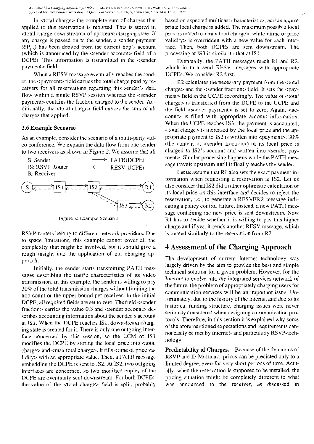In <total charge> the complete sum of charges that applied to this reservation is reported. This is stored in <total charge downstream> of upstream charging state. If any charge is passed on to the sender, a sender payment  $(SP_{ik})$  has been debited from the current hop's account (which is announced by the <sender account> field of a DCPE). This information is transmitted in the <sender payment> field.

When a RESV message eventually reaches the sender, the <payment> field carries the total charge paid by receivers for all reservations regarding this sender's data flow within a single RSVP session whereas the <sender payment> contains the fraction charged to the sender. Additionally, the <total charge> field carries the sum of all charges that applied.

### 3.6 Example Scenario

As an example, consider the scenario of a multi-party video conference. We explain the data flow from one sender to two receivers as shown in Figure 2. We assume that all



Figure 2: Example Scenario

RSVP routers belong to different network providers. Due to space limitations, this example cannot cover all the complexity that might be involved, but it should give a rough insight into the application of our charging approach.

Initially, the sender starts transmitting PATH messages describing the traffic characteristics of its video transmission. In this example, the sender is willing to pay 30% of the total transmission charges without limiting the hop count or the upper bound per receiver. In the initial DCPE, all required fields are set to zero. The field <sender fraction> carries the value 0.3 and <sender account> describes accounting information about the sender's account at IS1. When the DCPE reaches IS1. downstream charging state is created for it. There is only one outgoing interface concerned by this session, so the LCM of IS1 modifies the DCPE by storing the local price into <total charge> and <max total charge>. It fills <time of price validity> with an appropriate value. Then, a PATH message embedding the DCPE is sent to IS2. At IS2, two outgoing interfaces are concerned, so two modified copies of the DCPE are eventually sent downstream. For both DCPEs, the value of the <total charge> field is split, probably based on expected multicast characteristics, and an appropriate local charge is added. The maximum possible local price is added to <max total charge>, while <time of price validity is overridden with a new value for each interface. Then, both DCPEs are sent downstream. The processing at 1S3 is similar to that at IS1.

Eventually, the PATH messages reach R1 and R2. which in turn send RESV messages with appropriate UCPEs. We consider R2 first.

R2 calculates the necessary payment from the <total charge> and the <sender fraction> field. It sets the <payment> field in the UCPE accordingly. The value of <total charge> is transferred from the DCPE to the UCPE and the field <sender navment> is set to zero. Again. <account> is filled with appropriate account information. When the UCPE reaches 1S3, the payment is accounted, <total charge> is increased by the local price and the appropriate payment to IS2 is written into  $\langle$  payment>. 30% (the content of <sender fraction>) of its local price is charged to IS2's account and written into <sender payment>. Similar processing happens while the PATH message travels upstream until it finally reaches the sender.

Let us assume that R1 also sets the exact payment information when requesting a reservation at IS2. Let us also consider that IS2 did a rather optimistic calculation of its local price on this interface and decides to reject the reservation, i.e., to generate a RESVERR message indicating a policy control failure. Instead, a new PATH message containing the new price is sent downstream. Now R1 has to decide whether it is willing to pay this higher charge and if yes, it sends another RESV message, which is treated similarly to the reservation from R2.

## **4 Assessment of the Charging Approach**

The development of current Internet technology was largely driven by the aim to provide the best and simple technical solution for a given problem. However, for the Internet to evolve into the integrated services network of the future, the problem of appropriately charging users for communication services will be an important issue. Unfortunately, due to the history of the Internet and due to its historical funding structure, charging issues were never seriously considered when designing communication protocols. Therefore, in this section it is explained why some of the aforementioned expectations and requirements cannot easily be met by Internet- and particularly RSVP-technology.

**Predictability of Charges.** Because of the dynamics of RSVP and IP Multicast, prices can be predicted only to a limited degree, even for very short periods of time. Actually, when the reservation is supposed to be installed, the pricing situation might be completely different to what was announced to the receiver, as discussed in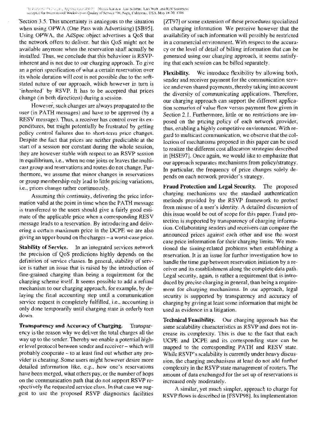Section 3.5. This uncertainty is analogous to the situation when using OPWA (One Pass with Advertising) [SB95]. Using OPWA, the AdSpec object advertises a OoS that the network offers to deliver. but this QoS might not be available anymore when the reservation shall actually be installed. Thus, we conclude that this behaviour is RSVPinherent and is not due to our charging approach. To give an a priori specification of what a certain reservation over its whole duration will cost is not possible due to the softstated nature of our approach, which however in turn is 'inherited' by RSVP. It has to be accepted that prices change (in both directions) during a session.

However, such changes are always propagated to the user (in PATH mcssages) and have to be approved (by a RESV message). Thus, a receiver has control over its expenditures, but might potentially be frustrated by getting policy control failures due to short-term price changes. Despite the fact that prices are neither prediclable at the starr of a session nor constant during the whole session, they are however stable with respect to an RSVP session in equilibrium, i.e.. when no one joins or leaves the multicast group and reservations and routes do not change. Furthermore, we assume that minor changes in reservations or group membership only lead to little pricing variations, i.e., prices change rather continuously.

Assuming this continuity, delivering the pricc information valid at the point in time when the PATH message is transferred to the users should give a fairly good estimate of the applicable price when a corresponding RESV rnessage leads to a reservation. By introducing and delivering a certai'n maxirnum price in the DCPE we are also giving an upper bound on thecharges - a worst-case pnce.

Stability **of** Service. In an integrated services network the precision of QoS predictions highly depends on the definition of service classes. In general, stability of service is rather an issue that is raised by the introduction of fine-grained charging than being a requirement for the charging scheme itself. It seems possible to add a refund rnechanism to our charging approach. for example, by delaying the final accounting step until a communication service request is completely fulfilled, *i.e.*, accounting is only done temporarily until charging state is orderly torn down.

Transparency and Accuracy **of** Charging. Transparency is the reason why we deliver the total charges all the way up to the sender. Thereby we enable a potential higher level protocol between sender and receiver - which will probably cooperate - to at least find out whether any provider is cheating. Some users might however desire more detailed inforrnation like. e.g., how one's reservations have been merged, what others pay. or the number of hops on the communication path that do not support RSVP respectively the requested service class. In that case we suggest to use the proposed RSVP diagnostics facilities

(ZT971 or some extension of these procedures spccialized on charging inforrnation We perceive however that the availability of such information will possibly be restricted in a commercial environment. With respect to the accuracy or the level of detail of billing information that can be generated using our charging approach, it seems satisfying that each session can be billed separately.

Flexibility. We introduce flexibility by allowing both, sender and receiver payment for the communication service andeven shared paymcnts, thereby takirig into account the diversity of communicating applications. Therefore, our charging approach can support the different application scenarios of value flow versus payment flow given in Section 2.1. Furthermore, little or no restrictions are imposed on the pricing policy of each network provider, thus. enabling a highly competitive environmcnt. With regard to multicast communication, we observe that the collection of mechanisms proposed in this paper can be used to realize the different cost allocation strategies described in [HSE97]. Once again, we would like io emphasize that our approach separates mechanisms from policylstrategy. In particular, the frequency of price changes solely depends on each nerwork provider's strategy.

Fraud Protection and Legal Security. The proposed charging mechanisms use the standard authentication methods provided by the RSVP framework to protect from misuse of a user's identity. A detailed discussion of this issue would be out of scope for this paper. Fraud protection is supported by transparency of charging information. Collaborating Senders and receivers can compare the announced prices against each other and use thc worst case price information for their charging Iimits. We mentioned the timing-related problems when establishing a reservation. It is an issue for funher investigation how to handle the time gap between reservation initiation by a receiver and its establishment along the complete data path. Legal security, again, is rather a requirement that is introduced by precise charging in general, than being a requirement for charging mechanisms. In our approach, legal security is supported by transparency and accuracy of charging by givingat least some information that might be used as evidence in a litigation.

Technical Feasihility. Our charging approach has the same scalability characteristics as RSVP and does not increase its complexity. This is due to the fact that each UCPE and DCPE and its corresponding state can be niapped to the corresponding PATH and RESV state. While RSVP's scalability is currently under heavy discussion, the charging niechanisms at least do not add further complexity in the RSVP state management of routers. The amount of data exchanged for the set up of reservations is increased only moderateiy.

A similar, yet much simpler, approach to charge for RSVP flows is describcd in [FSVP98]. Its implementation